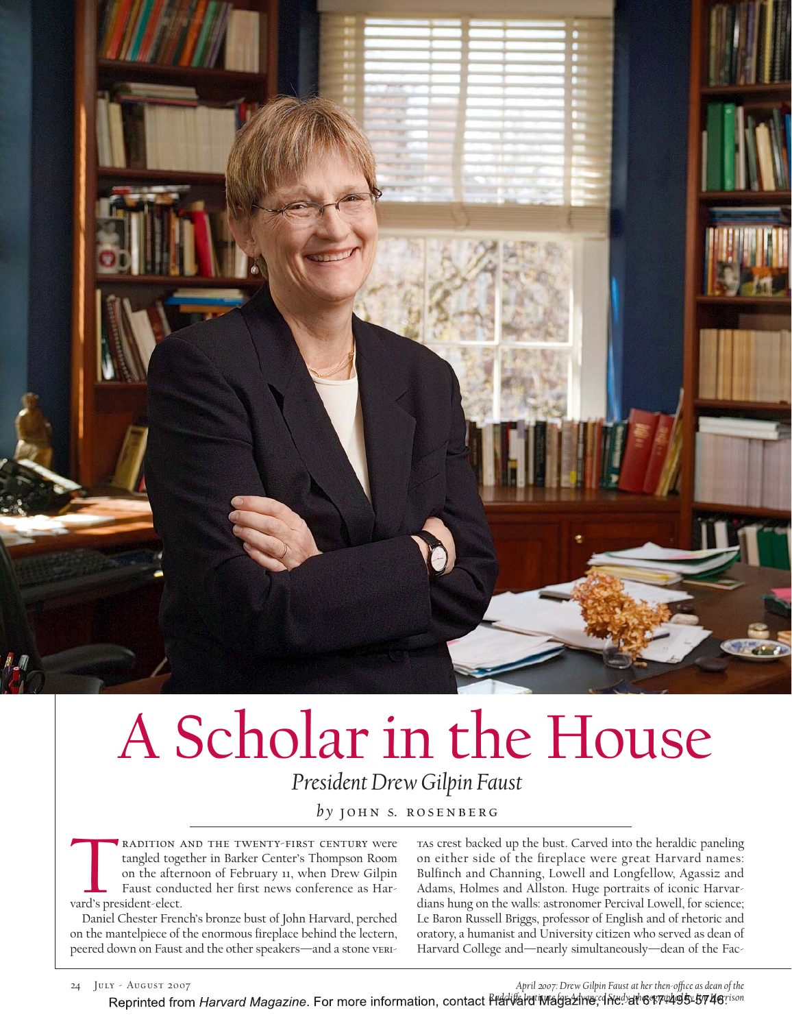

# A Scholar in the House *President Drew Gilpin Faust*

by **JOHN S. ROSENBERG** 

EXADITION AND THE TWENTY-FIRST CENTURY WERE<br>tangled together in Barker Center's Thompson Room<br>on the afternoon of February 11, when Drew Gilpin<br>Faust conducted her first news conference as Hartangled together in Barker Center's Thompson Room on the afternoon of February 11, when Drew Gilpin Faust conducted her first news conference as Harvard's president-elect.

Daniel Chester French's bronze bust of John Harvard, perched on the mantelpiece of the enormous fireplace behind the lectern, peered down on Faust and the other speakers—and a stone veritas crest backed up the bust. Carved into the heraldic paneling on either side of the fireplace were great Harvard names: Bulfinch and Channing, Lowell and Longfellow, Agassiz and Adams, Holmes and Allston. Huge portraits of iconic Harvardians hung on the walls: astronomer Percival Lowell, for science; Le Baron Russell Briggs, professor of English and of rhetoric and oratory, a humanist and University citizen who served as dean of Harvard College and—nearly simultaneously—dean of the Fac-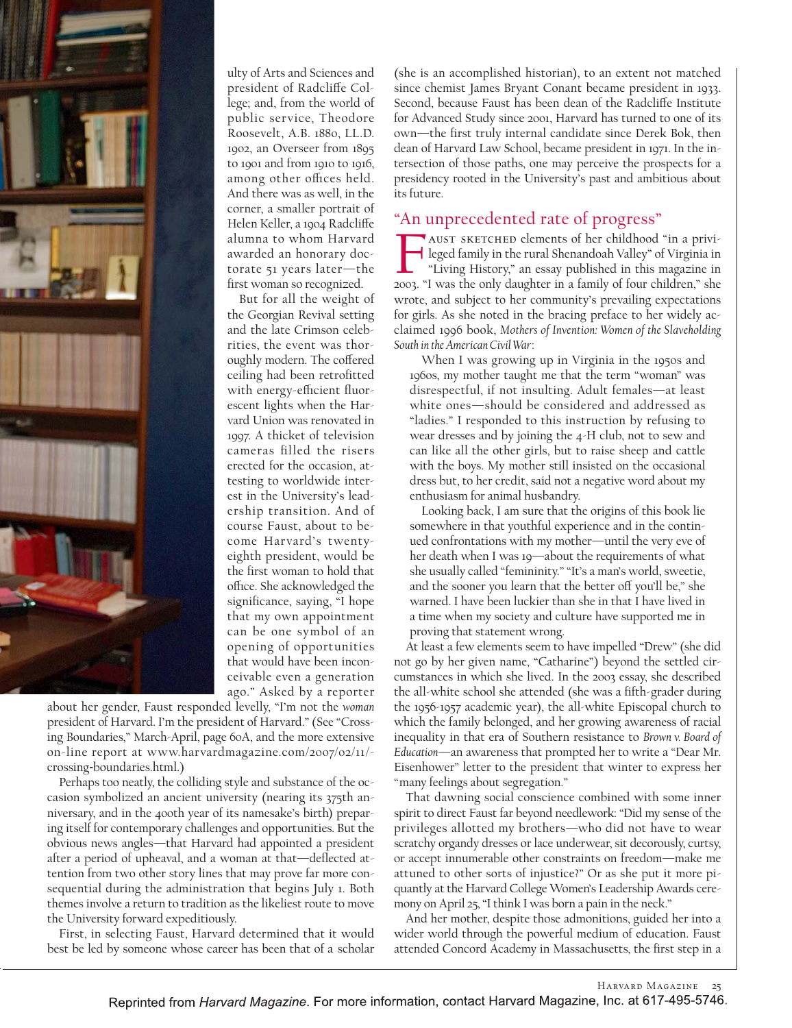

ulty of Arts and Sciences and president of Radcliffe College; and, from the world of public service, Theodore Roosevelt, A.B. 1880, LL.D. 1902, an Overseer from 1895 to 1901 and from 1910 to 1916, among other offices held. And there was as well, in the corner, a smaller portrait of Helen Keller, a 1904 Radcliffe alumna to whom Harvard awarded an honorary doctorate 51 years later—the first woman so recognized.

But for all the weight of the Georgian Revival setting and the late Crimson celebrities, the event was thoroughly modern. The coffered ceiling had been retrofitted with energy-efficient fluorescent lights when the Harvard Union was renovated in 1997. A thicket of television cameras filled the risers erected for the occasion, attesting to worldwide interest in the University's leadership transition. And of course Faust, about to become Harvard's twentyeighth president, would be the first woman to hold that office. She acknowledged the significance, saying, "I hope that my own appointment can be one symbol of an opening of opportunities that would have been inconceivable even a generation ago." Asked by a reporter

about her gender, Faust responded levelly, "I'm not the *woman* president of Harvard. I'm the president of Harvard." (See "Crossing Boundaries," March-April, page 60A, and the more extensive on-line report at www.harvardmagazine.com/2007/02/11/ crossing-boundaries.html.)

Perhaps too neatly, the colliding style and substance of the occasion symbolized an ancient university (nearing its 375th anniversary, and in the 400th year of its namesake's birth) preparing itself for contemporary challenges and opportunities. But the obvious news angles—that Harvard had appointed a president after a period of upheaval, and a woman at that—deflected attention from two other story lines that may prove far more consequential during the administration that begins July 1. Both themes involve a return to tradition as the likeliest route to move the University forward expeditiously.

First, in selecting Faust, Harvard determined that it would best be led by someone whose career has been that of a scholar

(she is an accomplished historian), to an extent not matched since chemist James Bryant Conant became president in 1933. Second, because Faust has been dean of the Radcliffe Institute for Advanced Study since 2001, Harvard has turned to one of its own—the first truly internal candidate since Derek Bok, then dean of Harvard Law School, became president in 1971. In the intersection of those paths, one may perceive the prospects for a presidency rooted in the University's past and ambitious about its future.

#### "An unprecedented rate of progress"

"An unprecedented rate of progress"<br>AUST SKETCHED elements of her childhood "in a privi-<br>leged family in the rural Shenandoah Valley" of Virginia in<br>"Living History," an essay published in this magazine in leged family in the rural Shenandoah Valley" of Virginia in "Living History," an essay published in this magazine in 2003. "I was the only daughter in a family of four children," she wrote, and subject to her community's prevailing expectations for girls. As she noted in the bracing preface to her widely acclaimed 1996 book, *Mothers of Invention: Women of the Slaveholding South in the American Civil War*:

When I was growing up in Virginia in the 1950s and 1960s, my mother taught me that the term "woman" was disrespectful, if not insulting. Adult females—at least white ones—should be considered and addressed as "ladies." I responded to this instruction by refusing to wear dresses and by joining the 4-H club, not to sew and can like all the other girls, but to raise sheep and cattle with the boys. My mother still insisted on the occasional dress but, to her credit, said not a negative word about my enthusiasm for animal husbandry.

Looking back, I am sure that the origins of this book lie somewhere in that youthful experience and in the continued confrontations with my mother—until the very eve of her death when I was 19—about the requirements of what she usually called "femininity." "It's a man's world, sweetie, and the sooner you learn that the better off you'll be," she warned. I have been luckier than she in that I have lived in a time when my society and culture have supported me in proving that statement wrong.

At least a few elements seem to have impelled "Drew" (she did not go by her given name, "Catharine") beyond the settled circumstances in which she lived. In the 2003 essay, she described the all-white school she attended (she was a fifth-grader during the 1956-1957 academic year), the all-white Episcopal church to which the family belonged, and her growing awareness of racial inequality in that era of Southern resistance to *Brown v. Board of Education*—an awareness that prompted her to write a "Dear Mr. Eisenhower" letter to the president that winter to express her "many feelings about segregation."

That dawning social conscience combined with some inner spirit to direct Faust far beyond needlework: "Did my sense of the privileges allotted my brothers—who did not have to wear scratchy organdy dresses or lace underwear, sit decorously, curtsy, or accept innumerable other constraints on freedom—make me attuned to other sorts of injustice?" Or as she put it more piquantly at the Harvard College Women's Leadership Awards ceremony on April 25, "I think I was born a pain in the neck."

And her mother, despite those admonitions, guided her into a wider world through the powerful medium of education. Faust attended Concord Academy in Massachusetts, the first step in a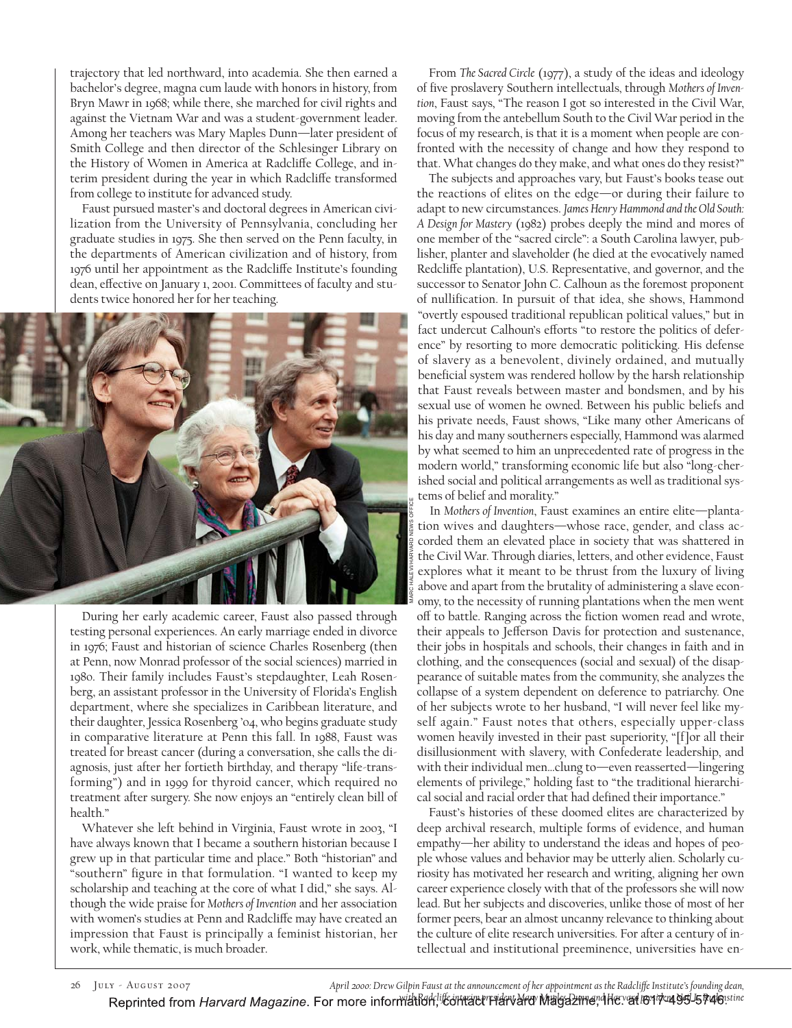trajectory that led northward, into academia. She then earned a bachelor's degree, magna cum laude with honors in history, from Bryn Mawr in 1968; while there, she marched for civil rights and against the Vietnam War and was a student-government leader. Among her teachers was Mary Maples Dunn—later president of Smith College and then director of the Schlesinger Library on the History of Women in America at Radcliffe College, and interim president during the year in which Radcliffe transformed from college to institute for advanced study.

Faust pursued master's and doctoral degrees in American civilization from the University of Pennsylvania, concluding her graduate studies in 1975. She then served on the Penn faculty, in the departments of American civilization and of history, from 1976 until her appointment as the Radcliffe Institute's founding dean, effective on January 1, 2001. Committees of faculty and students twice honored her for her teaching.



During her early academic career, Faust also passed through testing personal experiences. An early marriage ended in divorce in 1976; Faust and historian of science Charles Rosenberg (then at Penn, now Monrad professor of the social sciences) married in 1980. Their family includes Faust's stepdaughter, Leah Rosenberg, an assistant professor in the University of Florida's English department, where she specializes in Caribbean literature, and their daughter, Jessica Rosenberg '04, who begins graduate study in comparative literature at Penn this fall. In 1988, Faust was treated for breast cancer (during a conversation, she calls the diagnosis, just after her fortieth birthday, and therapy "life-transforming") and in 1999 for thyroid cancer, which required no treatment after surgery. She now enjoys an "entirely clean bill of health."

Whatever she left behind in Virginia, Faust wrote in 2003, "I have always known that I became a southern historian because I grew up in that particular time and place." Both "historian" and "southern" figure in that formulation. "I wanted to keep my scholarship and teaching at the core of what I did," she says. Although the wide praise for *Mothers of Invention* and her association with women's studies at Penn and Radcliffe may have created an impression that Faust is principally a feminist historian, her work, while thematic, is much broader.

From *The Sacred Circle* (1977), a study of the ideas and ideology of five proslavery Southern intellectuals, through *Mothers of Invention*, Faust says, "The reason I got so interested in the Civil War, moving from the antebellum South to the Civil War period in the focus of my research, is that it is a moment when people are confronted with the necessity of change and how they respond to that. What changes do they make, and what ones do they resist?"

The subjects and approaches vary, but Faust's books tease out the reactions of elites on the edge—or during their failure to adapt to new circumstances. *James Henry Hammond and the Old South: A Design for Mastery* (1982) probes deeply the mind and mores of one member of the "sacred circle": a South Carolina lawyer, publisher, planter and slaveholder (he died at the evocatively named Redcliffe plantation), U.S. Representative, and governor, and the successor to Senator John C. Calhoun as the foremost proponent of nullification. In pursuit of that idea, she shows, Hammond "overtly espoused traditional republican political values," but in fact undercut Calhoun's efforts "to restore the politics of deference" by resorting to more democratic politicking. His defense of slavery as a benevolent, divinely ordained, and mutually beneficial system was rendered hollow by the harsh relationship that Faust reveals between master and bondsmen, and by his sexual use of women he owned. Between his public beliefs and his private needs, Faust shows, "Like many other Americans of his day and many southerners especially, Hammond was alarmed by what seemed to him an unprecedented rate of progress in the modern world," transforming economic life but also "long-cherished social and political arrangements as well as traditional systems of belief and morality."

In *Mothers of Invention*, Faust examines an entire elite—plantation wives and daughters—whose race, gender, and class accorded them an elevated place in society that was shattered in the Civil War. Through diaries, letters, and other evidence, Faust explores what it meant to be thrust from the luxury of living above and apart from the brutality of administering a slave economy, to the necessity of running plantations when the men went off to battle. Ranging across the fiction women read and wrote, their appeals to Jefferson Davis for protection and sustenance, their jobs in hospitals and schools, their changes in faith and in clothing, and the consequences (social and sexual) of the disappearance of suitable mates from the community, she analyzes the collapse of a system dependent on deference to patriarchy. One of her subjects wrote to her husband, "I will never feel like myself again." Faust notes that others, especially upper-class women heavily invested in their past superiority, "[f]or all their disillusionment with slavery, with Confederate leadership, and with their individual men…clung to—even reasserted—lingering elements of privilege," holding fast to "the traditional hierarchical social and racial order that had defined their importance." *w* In Mothers of Invantion, Faust examines an entire elite—planta-<br><sup>8</sup><sup>2</sup> conded them an elevated place in society that was shartteed in<br>each conded them and Mary Mayles and Conded the strained in the strained of the civi

Faust's histories of these doomed elites are characterized by deep archival research, multiple forms of evidence, and human empathy—her ability to understand the ideas and hopes of people whose values and behavior may be utterly alien. Scholarly curiosity has motivated her research and writing, aligning her own career experience closely with that of the professors she will now lead. But her subjects and discoveries, unlike those of most of her former peers, bear an almost uncanny relevance to thinking about the culture of elite research universities. For after a century of intellectual and institutional preeminence, universities have en-

26 July - August 2007 *April 2000: Drew Gilpin Faust at the announcement of her appointment as the Radcli≠e Institute's founding dean,*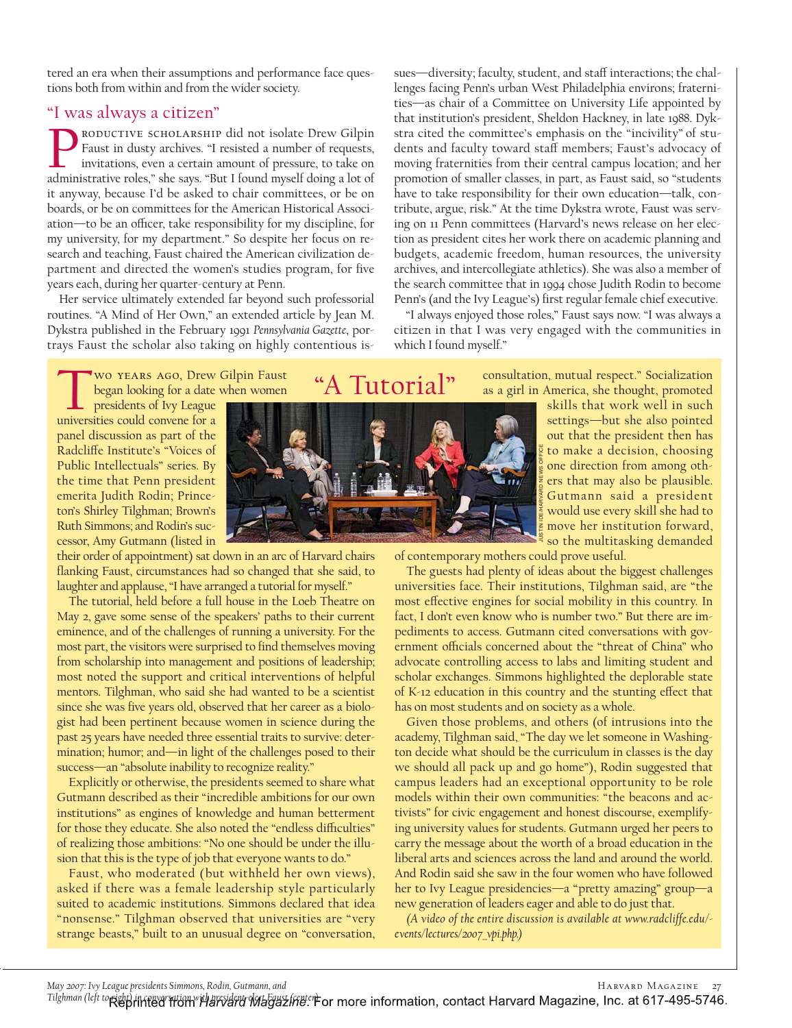tered an era when their assumptions and performance face questions both from within and from the wider society.

#### "I was always a citizen"

"I WAS AIWAYS A CILIZEN"<br>PRODUCTIVE SCHOLARSHIP did not isolate Drew Gilpin<br>Faust in dusty archives. "I resisted a number of requests,<br>invitations, even a certain amount of pressure, to take on Faust in dusty archives. "I resisted a number of requests, invitations, even a certain amount of pressure, to take on administrative roles," she says. "But I found myself doing a lot of it anyway, because I'd be asked to chair committees, or be on boards, or be on committees for the American Historical Association—to be an officer, take responsibility for my discipline, for my university, for my department." So despite her focus on research and teaching, Faust chaired the American civilization department and directed the women's studies program, for five years each, during her quarter-century at Penn.

Her service ultimately extended far beyond such professorial routines. "A Mind of Her Own," an extended article by Jean M. Dykstra published in the February 1991 *Pennsylvania Gazette*, portrays Faust the scholar also taking on highly contentious issues—diversity; faculty, student, and staff interactions; the challenges facing Penn's urban West Philadelphia environs; fraternities—as chair of a Committee on University Life appointed by that institution's president, Sheldon Hackney, in late 1988. Dykstra cited the committee's emphasis on the "incivility" of students and faculty toward staff members; Faust's advocacy of moving fraternities from their central campus location; and her promotion of smaller classes, in part, as Faust said, so "students have to take responsibility for their own education—talk, contribute, argue, risk." At the time Dykstra wrote, Faust was serving on 11 Penn committees (Harvard's news release on her election as president cites her work there on academic planning and budgets, academic freedom, human resources, the university archives, and intercollegiate athletics). She was also a member of the search committee that in 1994 chose Judith Rodin to become Penn's (and the Ivy League's) first regular female chief executive.

"I always enjoyed those roles," Faust says now. "I was always a citizen in that I was very engaged with the communities in which I found myself."

WO YEARS AGO, Drew Gilpin Faust began looking for a date when women presidents of Ivy League

universities could convene for a panel discussion as part of the Radcliffe Institute's "Voices of Public Intellectuals" series. By the time that Penn president emerita Judith Rodin; Princeton's Shirley Tilghman; Brown's Ruth Simmons; and Rodin's successor, Amy Gutmann (listed in

their order of appointment) sat down in an arc of Harvard chairs flanking Faust, circumstances had so changed that she said, to laughter and applause, "I have arranged a tutorial for myself."

The tutorial, held before a full house in the Loeb Theatre on May 2, gave some sense of the speakers' paths to their current eminence, and of the challenges of running a university. For the most part, the visitors were surprised to find themselves moving from scholarship into management and positions of leadership; most noted the support and critical interventions of helpful mentors. Tilghman, who said she had wanted to be a scientist since she was five years old, observed that her career as a biologist had been pertinent because women in science during the past 25 years have needed three essential traits to survive: determination; humor; and—in light of the challenges posed to their success—an "absolute inability to recognize reality."

Explicitly or otherwise, the presidents seemed to share what Gutmann described as their "incredible ambitions for our own institutions" as engines of knowledge and human betterment for those they educate. She also noted the "endless difficulties" of realizing those ambitions: "No one should be under the illusion that this is the type of job that everyone wants to do."

Faust, who moderated (but withheld her own views), asked if there was a female leadership style particularly suited to academic institutions. Simmons declared that idea "nonsense." Tilghman observed that universities are "very strange beasts," built to an unusual degree on "conversation,

#### "A Tutorial"



consultation, mutual respect." Socialization as a girl in America, she thought, promoted

> skills that work well in such settings—but she also pointed out that the president then has to make a decision, choosing one direction from among others that may also be plausible. Gutmann said a president would use every skill she had to move her institution forward, so the multitasking demanded

of contemporary mothers could prove useful.

JUSTIN IDE/HARVARD NEWS OFFICE

The guests had plenty of ideas about the biggest challenges universities face. Their institutions, Tilghman said, are "the most effective engines for social mobility in this country. In fact, I don't even know who is number two." But there are impediments to access. Gutmann cited conversations with government officials concerned about the "threat of China" who advocate controlling access to labs and limiting student and scholar exchanges. Simmons highlighted the deplorable state of K-12 education in this country and the stunting effect that has on most students and on society as a whole.

Given those problems, and others (of intrusions into the academy, Tilghman said, "The day we let someone in Washington decide what should be the curriculum in classes is the day we should all pack up and go home"), Rodin suggested that campus leaders had an exceptional opportunity to be role models within their own communities: "the beacons and activists" for civic engagement and honest discourse, exemplifying university values for students. Gutmann urged her peers to carry the message about the worth of a broad education in the liberal arts and sciences across the land and around the world. And Rodin said she saw in the four women who have followed her to Ivy League presidencies—a "pretty amazing" group—a new generation of leaders eager and able to do just that.

*(A video of the entire discussion is available at www.radcliffe.edu/ events/lectures/2007\_vpi.php.)*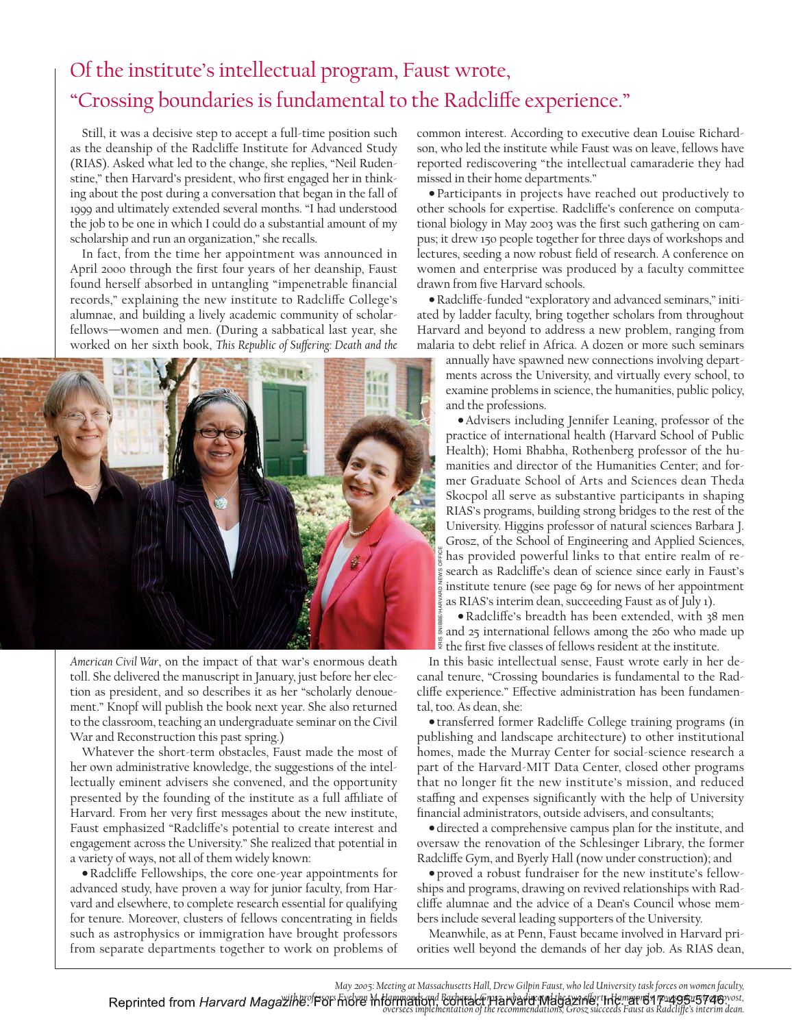## Of the institute's intellectual program, Faust wrote, "Crossing boundaries is fundamental to the Radcliffe experience."

Still, it was a decisive step to accept a full-time position such as the deanship of the Radcliffe Institute for Advanced Study (RIAS). Asked what led to the change, she replies, "Neil Rudenstine," then Harvard's president, who first engaged her in thinking about the post during a conversation that began in the fall of 1999 and ultimately extended several months. "I had understood the job to be one in which I could do a substantial amount of my scholarship and run an organization," she recalls.

In fact, from the time her appointment was announced in April 2000 through the first four years of her deanship, Faust found herself absorbed in untangling "impenetrable financial records," explaining the new institute to Radcliffe College's alumnae, and building a lively academic community of scholarfellows—women and men. (During a sabbatical last year, she worked on her sixth book, *This Republic of Suffering: Death and the* 



*American Civil War*, on the impact of that war's enormous death toll. She delivered the manuscript in January, just before her election as president, and so describes it as her "scholarly denouement." Knopf will publish the book next year. She also returned to the classroom, teaching an undergraduate seminar on the Civil War and Reconstruction this past spring.)

Whatever the short-term obstacles, Faust made the most of her own administrative knowledge, the suggestions of the intellectually eminent advisers she convened, and the opportunity presented by the founding of the institute as a full affiliate of Harvard. From her very first messages about the new institute, Faust emphasized "Radcliffe's potential to create interest and engagement across the University." She realized that potential in a variety of ways, not all of them widely known:

•Radcli≠e Fellowships, the core one-year appointments for advanced study, have proven a way for junior faculty, from Harvard and elsewhere, to complete research essential for qualifying for tenure. Moreover, clusters of fellows concentrating in fields such as astrophysics or immigration have brought professors from separate departments together to work on problems of

common interest. According to executive dean Louise Richardson, who led the institute while Faust was on leave, fellows have reported rediscovering "the intellectual camaraderie they had missed in their home departments."

• Participants in projects have reached out productively to other schools for expertise. Radcliffe's conference on computational biology in May 2003 was the first such gathering on campus; it drew 150 people together for three days of workshops and lectures, seeding a now robust field of research. A conference on women and enterprise was produced by a faculty committee drawn from five Harvard schools.

•Radcli≠e-funded "exploratory and advanced seminars," initiated by ladder faculty, bring together scholars from throughout Harvard and beyond to address a new problem, ranging from malaria to debt relief in Africa. A dozen or more such seminars

annually have spawned new connections involving departments across the University, and virtually every school, to examine problems in science, the humanities, public policy, and the professions.

• Advisers including Jennifer Leaning, professor of the practice of international health (Harvard School of Public Health); Homi Bhabha, Rothenberg professor of the humanities and director of the Humanities Center; and former Graduate School of Arts and Sciences dean Theda Skocpol all serve as substantive participants in shaping RIAS's programs, building strong bridges to the rest of the University. Higgins professor of natural sciences Barbara J. Grosz, of the School of Engineering and Applied Sciences, has provided powerful links to that entire realm of research as Radcliffe's dean of science since early in Faust's institute tenure (see page 69 for news of her appointment as RIAS's interim dean, succeeding Faust as of July 1).

•Radcli≠e's breadth has been extended, with 38 men and 25 international fellows among the 260 who made up the first five classes of fellows resident at the institute.

In this basic intellectual sense, Faust wrote early in her decanal tenure, "Crossing boundaries is fundamental to the Radcliffe experience." Effective administration has been fundamental, too. As dean, she:

• transferred former Radcli≠e College training programs (in publishing and landscape architecture) to other institutional homes, made the Murray Center for social-science research a part of the Harvard-MIT Data Center, closed other programs that no longer fit the new institute's mission, and reduced staffing and expenses significantly with the help of University financial administrators, outside advisers, and consultants; overseed in the set of the recommendations; SNIBBE/FEC shadcliffe's observed in Faust's as RIAS's interim dean, succeeding Faust as of July 1).<br> **Example 26 RADcliffe's breadchi** has been extended, with 38 mendations; an

• directed a comprehensive campus plan for the institute, and oversaw the renovation of the Schlesinger Library, the former Radcliffe Gym, and Byerly Hall (now under construction); and

• proved a robust fundraiser for the new institute's fellowships and programs, drawing on revived relationships with Radcliffe alumnae and the advice of a Dean's Council whose members include several leading supporters of the University.

Meanwhile, as at Penn, Faust became involved in Harvard priorities well beyond the demands of her day job. As RIAS dean,

*May 2005: Meeting at Massachusetts Hall, Drew Gilpin Faust, who led University task forces on women faculty,*  Reprinted from *Harvard Magazihe* P8F Fridre this managementation of the recommendations, Grosz succeeds Faust as Radcliffe's interim dean.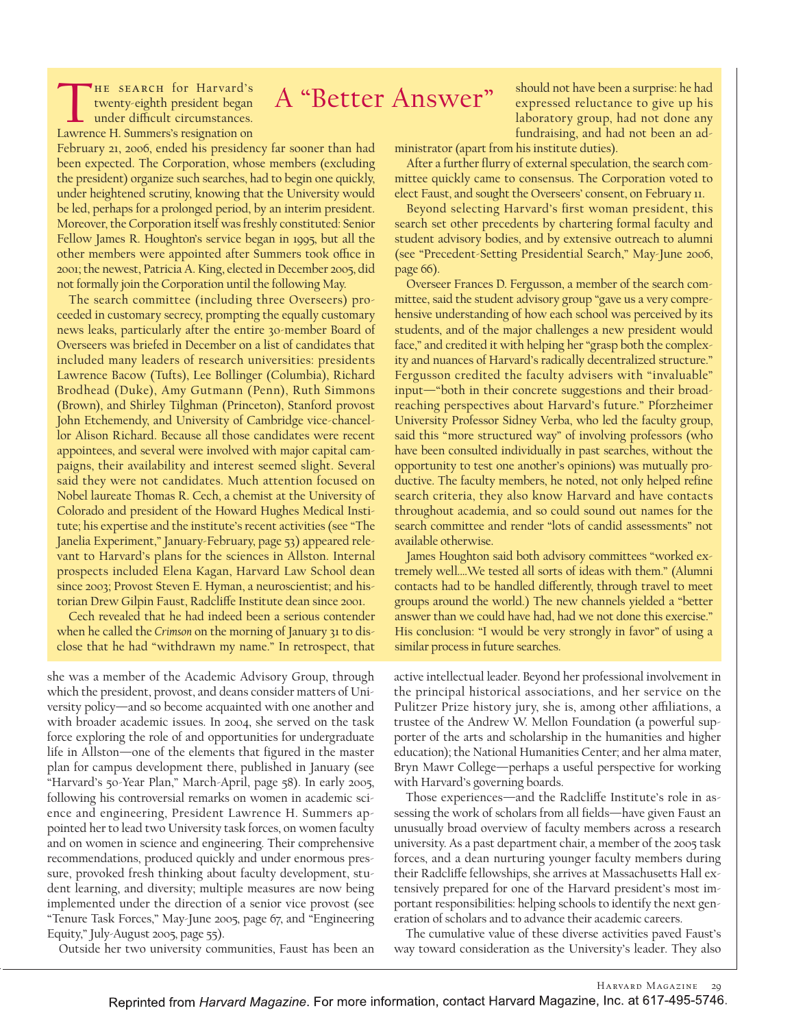## A "Better Answer"

THE SEARCH for Harvard's<br>twenty-eighth president began<br>under difficult circumstances. twenty-eighth president began Lawrence H. Summers's resignation on

February 21, 2006, ended his presidency far sooner than had been expected. The Corporation, whose members (excluding the president) organize such searches, had to begin one quickly, under heightened scrutiny, knowing that the University would be led, perhaps for a prolonged period, by an interim president. Moreover, the Corporation itself was freshly constituted: Senior Fellow James R. Houghton's service began in 1995, but all the other members were appointed after Summers took office in 2001; the newest, Patricia A. King, elected in December 2005, did not formally join the Corporation until the following May.

The search committee (including three Overseers) proceeded in customary secrecy, prompting the equally customary news leaks, particularly after the entire 30-member Board of Overseers was briefed in December on a list of candidates that included many leaders of research universities: presidents Lawrence Bacow (Tufts), Lee Bollinger (Columbia), Richard Brodhead (Duke), Amy Gutmann (Penn), Ruth Simmons (Brown), and Shirley Tilghman (Princeton), Stanford provost John Etchemendy, and University of Cambridge vice-chancellor Alison Richard. Because all those candidates were recent appointees, and several were involved with major capital campaigns, their availability and interest seemed slight. Several said they were not candidates. Much attention focused on Nobel laureate Thomas R. Cech, a chemist at the University of Colorado and president of the Howard Hughes Medical Institute; his expertise and the institute's recent activities (see "The Janelia Experiment," January-February, page 53) appeared relevant to Harvard's plans for the sciences in Allston. Internal prospects included Elena Kagan, Harvard Law School dean since 2003; Provost Steven E. Hyman, a neuroscientist; and historian Drew Gilpin Faust, Radcliffe Institute dean since 2001.

Cech revealed that he had indeed been a serious contender when he called the *Crimson* on the morning of January 31 to disclose that he had "withdrawn my name." In retrospect, that

she was a member of the Academic Advisory Group, through which the president, provost, and deans consider matters of University policy—and so become acquainted with one another and with broader academic issues. In 2004, she served on the task force exploring the role of and opportunities for undergraduate life in Allston—one of the elements that figured in the master plan for campus development there, published in January (see "Harvard's 50-Year Plan," March-April, page 58). In early 2005, following his controversial remarks on women in academic science and engineering, President Lawrence H. Summers appointed her to lead two University task forces, on women faculty and on women in science and engineering. Their comprehensive recommendations, produced quickly and under enormous pressure, provoked fresh thinking about faculty development, student learning, and diversity; multiple measures are now being implemented under the direction of a senior vice provost (see "Tenure Task Forces," May-June 2005, page 67, and "Engineering Equity," July-August 2005, page 55).

should not have been a surprise: he had expressed reluctance to give up his laboratory group, had not done any fundraising, and had not been an ad-

ministrator (apart from his institute duties).

After a further flurry of external speculation, the search committee quickly came to consensus. The Corporation voted to elect Faust, and sought the Overseers' consent, on February 11.

Beyond selecting Harvard's first woman president, this search set other precedents by chartering formal faculty and student advisory bodies, and by extensive outreach to alumni (see "Precedent-Setting Presidential Search," May-June 2006, page 66).

Overseer Frances D. Fergusson, a member of the search committee, said the student advisory group "gave us a very comprehensive understanding of how each school was perceived by its students, and of the major challenges a new president would face," and credited it with helping her "grasp both the complexity and nuances of Harvard's radically decentralized structure." Fergusson credited the faculty advisers with "invaluable" input—"both in their concrete suggestions and their broadreaching perspectives about Harvard's future." Pforzheimer University Professor Sidney Verba, who led the faculty group, said this "more structured way" of involving professors (who have been consulted individually in past searches, without the opportunity to test one another's opinions) was mutually productive. The faculty members, he noted, not only helped refine search criteria, they also know Harvard and have contacts throughout academia, and so could sound out names for the search committee and render "lots of candid assessments" not available otherwise.

James Houghton said both advisory committees "worked extremely well.…We tested all sorts of ideas with them." (Alumni contacts had to be handled differently, through travel to meet groups around the world.) The new channels yielded a "better answer than we could have had, had we not done this exercise." His conclusion: "I would be very strongly in favor" of using a similar process in future searches.

active intellectual leader. Beyond her professional involvement in the principal historical associations, and her service on the Pulitzer Prize history jury, she is, among other affiliations, a trustee of the Andrew W. Mellon Foundation (a powerful supporter of the arts and scholarship in the humanities and higher education); the National Humanities Center; and her alma mater, Bryn Mawr College—perhaps a useful perspective for working with Harvard's governing boards.

Those experiences—and the Radcliffe Institute's role in assessing the work of scholars from all fields—have given Faust an unusually broad overview of faculty members across a research university. As a past department chair, a member of the 2005 task forces, and a dean nurturing younger faculty members during their Radcliffe fellowships, she arrives at Massachusetts Hall extensively prepared for one of the Harvard president's most important responsibilities: helping schools to identify the next generation of scholars and to advance their academic careers.

The cumulative value of these diverse activities paved Faust's way toward consideration as the University's leader. They also

Outside her two university communities, Faust has been an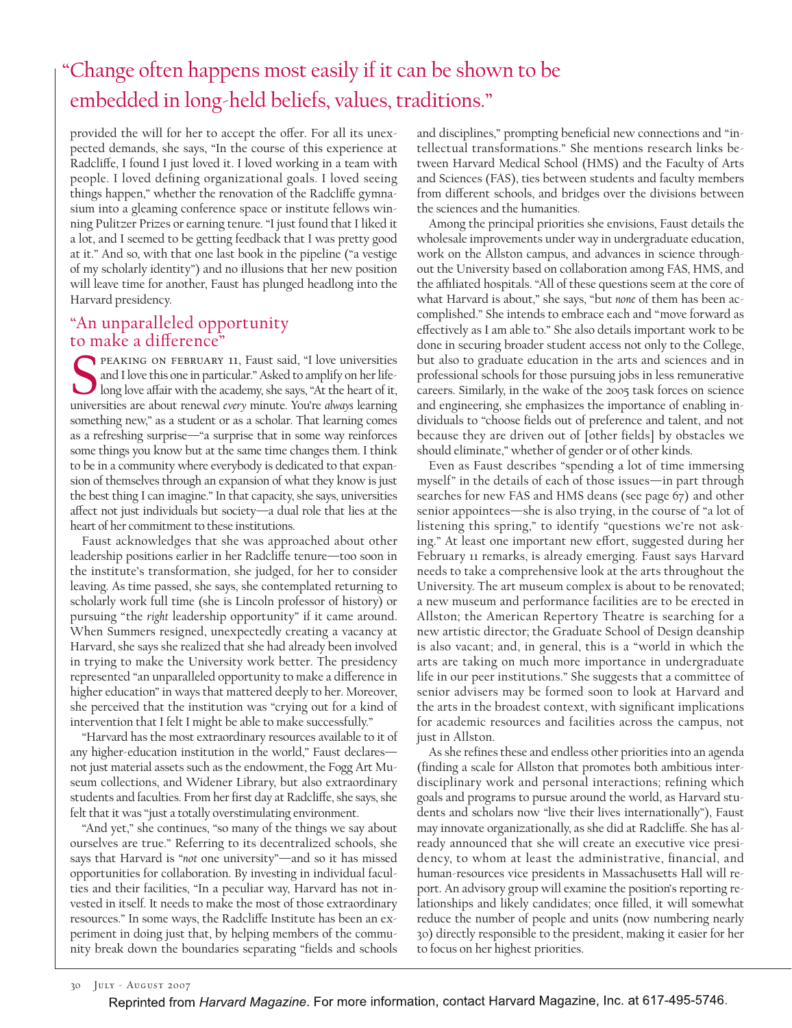### "Change often happens most easily if it can be shown to be embedded in long-held beliefs, values, traditions."

provided the will for her to accept the offer. For all its unexpected demands, she says, "In the course of this experience at Radcliffe, I found I just loved it. I loved working in a team with people. I loved defining organizational goals. I loved seeing things happen," whether the renovation of the Radcliffe gymnasium into a gleaming conference space or institute fellows winning Pulitzer Prizes or earning tenure. "I just found that I liked it a lot, and I seemed to be getting feedback that I was pretty good at it." And so, with that one last book in the pipeline ("a vestige of my scholarly identity") and no illusions that her new position will leave time for another, Faust has plunged headlong into the Harvard presidency.

## "An unparalleled opportunity

to make a difference"<br>
FEAKING ON FEBRUARY<br>
and I love this one in parti<br>
long love affair with the a PEAKING ON FEBRUARY 11, Faust said, "I love universities and I love this one in particular." Asked to amplify on her life-I long love affair with the academy, she says, "At the heart of it, universities are about renewal *every* minute. You're *always* learning something new," as a student or as a scholar. That learning comes as a refreshing surprise—"a surprise that in some way reinforces some things you know but at the same time changes them. I think to be in a community where everybody is dedicated to that expansion of themselves through an expansion of what they know is just the best thing I can imagine." In that capacity, she says, universities affect not just individuals but society—a dual role that lies at the heart of her commitment to these institutions.

Faust acknowledges that she was approached about other leadership positions earlier in her Radcliffe tenure—too soon in the institute's transformation, she judged, for her to consider leaving. As time passed, she says, she contemplated returning to scholarly work full time (she is Lincoln professor of history) or pursuing "the *right* leadership opportunity" if it came around. When Summers resigned, unexpectedly creating a vacancy at Harvard, she says she realized that she had already been involved in trying to make the University work better. The presidency represented "an unparalleled opportunity to make a difference in higher education" in ways that mattered deeply to her. Moreover, she perceived that the institution was "crying out for a kind of intervention that I felt I might be able to make successfully."

"Harvard has the most extraordinary resources available to it of any higher-education institution in the world," Faust declaresnot just material assets such as the endowment, the Fogg Art Museum collections, and Widener Library, but also extraordinary students and faculties. From her first day at Radcliffe, she says, she felt that it was "just a totally overstimulating environment.

"And yet," she continues, "so many of the things we say about ourselves are true." Referring to its decentralized schools, she says that Harvard is "*not* one university"—and so it has missed opportunities for collaboration. By investing in individual faculties and their facilities, "In a peculiar way, Harvard has not invested in itself. It needs to make the most of those extraordinary resources." In some ways, the Radcliffe Institute has been an experiment in doing just that, by helping members of the community break down the boundaries separating "fields and schools and disciplines," prompting beneficial new connections and "intellectual transformations." She mentions research links between Harvard Medical School (HMS) and the Faculty of Arts and Sciences (FAS), ties between students and faculty members from different schools, and bridges over the divisions between the sciences and the humanities.

Among the principal priorities she envisions, Faust details the wholesale improvements under way in undergraduate education, work on the Allston campus, and advances in science throughout the University based on collaboration among FAS, HMS, and the affiliated hospitals. "All of these questions seem at the core of what Harvard is about," she says, "but *none* of them has been accomplished." She intends to embrace each and "move forward as effectively as I am able to." She also details important work to be done in securing broader student access not only to the College, but also to graduate education in the arts and sciences and in professional schools for those pursuing jobs in less remunerative careers. Similarly, in the wake of the 2005 task forces on science and engineering, she emphasizes the importance of enabling individuals to "choose fields out of preference and talent, and not because they are driven out of [other fields] by obstacles we should eliminate," whether of gender or of other kinds.

Even as Faust describes "spending a lot of time immersing myself" in the details of each of those issues—in part through searches for new FAS and HMS deans (see page 67) and other senior appointees—she is also trying, in the course of "a lot of listening this spring," to identify "questions we're not asking." At least one important new effort, suggested during her February 11 remarks, is already emerging. Faust says Harvard needs to take a comprehensive look at the arts throughout the University. The art museum complex is about to be renovated; a new museum and performance facilities are to be erected in Allston; the American Repertory Theatre is searching for a new artistic director; the Graduate School of Design deanship is also vacant; and, in general, this is a "world in which the arts are taking on much more importance in undergraduate life in our peer institutions." She suggests that a committee of senior advisers may be formed soon to look at Harvard and the arts in the broadest context, with significant implications for academic resources and facilities across the campus, not just in Allston.

As she refines these and endless other priorities into an agenda (finding a scale for Allston that promotes both ambitious interdisciplinary work and personal interactions; refining which goals and programs to pursue around the world, as Harvard students and scholars now "live their lives internationally"), Faust may innovate organizationally, as she did at Radcliffe. She has already announced that she will create an executive vice presidency, to whom at least the administrative, financial, and human-resources vice presidents in Massachusetts Hall will report. An advisory group will examine the position's reporting relationships and likely candidates; once filled, it will somewhat reduce the number of people and units (now numbering nearly 30) directly responsible to the president, making it easier for her to focus on her highest priorities.

30 July - August 2007

Reprinted from Harvard Magazine. For more information, contact Harvard Magazine, Inc. at 617-495-5746.